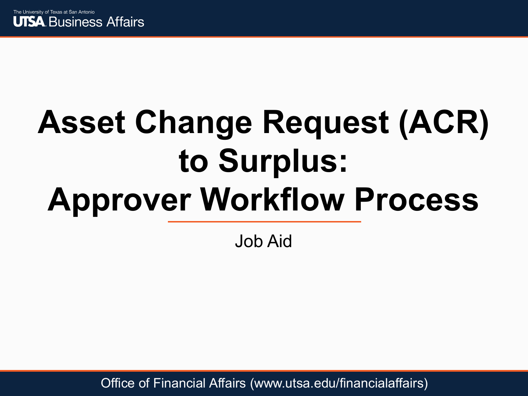

# **Asset Change Request (ACR) to Surplus: Approver Workflow Process**

Job Aid

Office of Financial Affairs (www.utsa.edu/financialaffairs)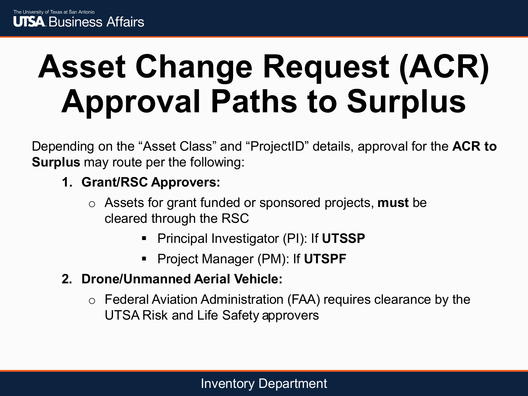# **Asset Change Request (ACR) Approval Paths to Surplus**

Depending on the "Asset Class" and "ProjectID" details, approval for the **ACR to Surplus** may route per the following:

#### **1. Grant/RSC Approvers:**

- o Assets for grant funded or sponsored projects, **must** be cleared through the RSC
	- Principal Investigator (PI): If **UTSSP**
	- Project Manager (PM): If **UTSPF**
- **2. Drone/Unmanned Aerial Vehicle:** 
	- o Federal Aviation Administration (FAA) requires clearance by the UTSA Risk and Life Safety approvers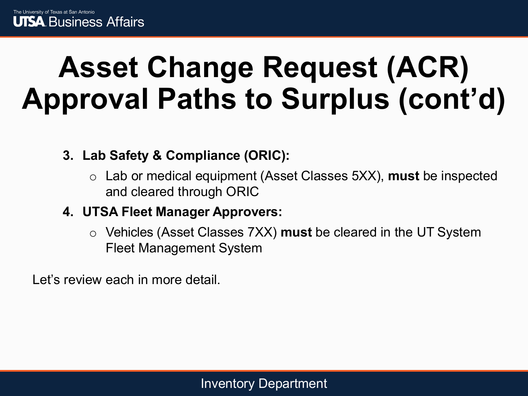### **Asset Change Request (ACR) Approval Paths to Surplus (cont'd)**

**3. Lab Safety & Compliance (ORIC):**

- o Lab or medical equipment (Asset Classes 5XX), **must** be inspected and cleared through ORIC
- **4. UTSA Fleet Manager Approvers:** 
	- o Vehicles (Asset Classes 7XX) **must** be cleared in the UT System Fleet Management System

Let's review each in more detail.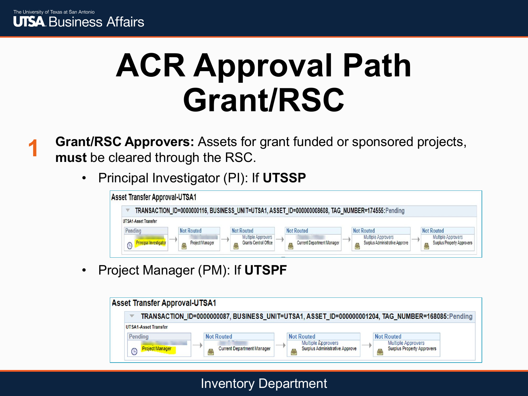

## **ACR Approval Path Grant/RSC**

**Grant/RSC Approvers:** Assets for grant funded or sponsored projects, **must** be cleared through the RSC. **1**

• Principal Investigator (PI): If **UTSSP**



• Project Manager (PM): If **UTSPF**

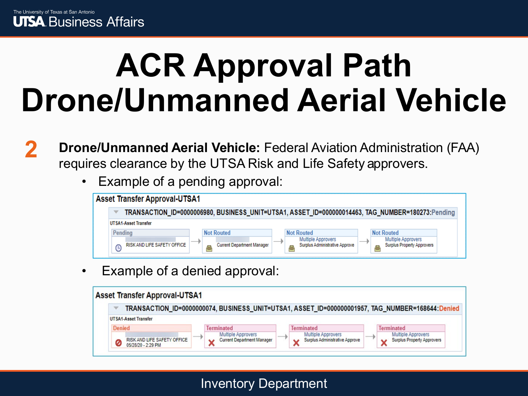## **ACR Approval Path Drone/Unmanned Aerial Vehicle**

- **Drone/Unmanned Aerial Vehicle:** Federal Aviation Administration (FAA) requires clearance by the UTSA Risk and Life Safety approvers. **2**
	- Example of a pending approval:

| <b>Asset Transfer Approval-UTSA1</b> |                                   |                                                                                                                               |
|--------------------------------------|-----------------------------------|-------------------------------------------------------------------------------------------------------------------------------|
|                                      |                                   | TRANSACTION_ID=0000006980, BUSINESS_UNIT=UTSA1, ASSET_ID=000000014463, TAG_NUMBER=180273:Pending                              |
| <b>UTSA1-Asset Transfer</b>          |                                   |                                                                                                                               |
| Pendina                              | <b>Not Routed</b>                 | <b>Not Routed</b><br><b>Not Routed</b>                                                                                        |
| RISK AND LIFE SAFETY OFFICE          | <b>Current Department Manager</b> | <b>Multiple Approvers</b><br><b>Multiple Approvers</b><br>Surplus Administrative Approve<br><b>Surplus Property Approvers</b> |

Example of a denied approval:

| <b>Asset Transfer Approval-UTSA1</b>              |                                                                |                                                             |                                                                                                 |
|---------------------------------------------------|----------------------------------------------------------------|-------------------------------------------------------------|-------------------------------------------------------------------------------------------------|
|                                                   |                                                                |                                                             | TRANSACTION_ID=0000000074, BUSINESS_UNIT=UTSA1, ASSET_ID=000000001957, TAG_NUMBER=168644:Denied |
| <b>UTSA1-Asset Transfer</b>                       |                                                                |                                                             |                                                                                                 |
| <b>Denied</b>                                     | <b>Terminated</b>                                              | <b>Terminated</b>                                           | <b>Terminated</b>                                                                               |
| RISK AND LIFE SAFETY OFFICE<br>05/28/20 - 2:29 PM | <b>Multiple Approvers</b><br><b>Current Department Manager</b> | <b>Multiple Approvers</b><br>Surplus Administrative Approve | <b>Multiple Approvers</b><br><b>Surplus Property Approvers</b>                                  |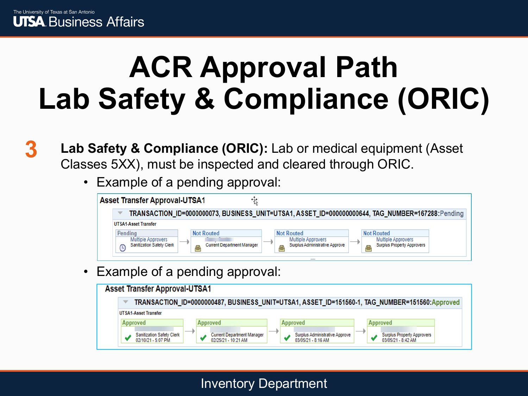### **ACR Approval Path Lab Safety & Compliance (ORIC)**

- **Lab Safety & Compliance (ORIC):** Lab or medical equipment (Asset Classes 5XX), must be inspected and cleared through ORIC. **3**
	- Example of a pending approval:

| <b>Asset Transfer Approval-UTSA1</b>                               |                                   |                                                                                                                               |
|--------------------------------------------------------------------|-----------------------------------|-------------------------------------------------------------------------------------------------------------------------------|
|                                                                    |                                   | TRANSACTION_ID=0000000073, BUSINESS_UNIT=UTSA1, ASSET_ID=00000000644, TAG_NUMBER=167288: Pending                              |
| <b>UTSA1-Asset Transfer</b>                                        |                                   |                                                                                                                               |
| Pendina                                                            | <b>Not Routed</b>                 | <b>Not Routed</b><br><b>Not Routed</b>                                                                                        |
| <b>Multiple Approvers</b><br><b>Sanitization Safety Clerk</b><br>G | <b>Current Department Manager</b> | <b>Multiple Approvers</b><br><b>Multiple Approvers</b><br>Surplus Administrative Approve<br><b>Surplus Property Approvers</b> |

Example of a pending approval:

| <b>Asset Transfer Approval-UTSA1</b>                   |                                                                                               |     |                                                      |       |                                                         |  |
|--------------------------------------------------------|-----------------------------------------------------------------------------------------------|-----|------------------------------------------------------|-------|---------------------------------------------------------|--|
| ▼                                                      | TRANSACTION_ID=0000000487, BUSINESS_UNIT=UTSA1, ASSET_ID=151560-1, TAG_NUMBER=151560:Approved |     |                                                      |       |                                                         |  |
| <b>UTSA1-Asset Transfer</b>                            |                                                                                               |     |                                                      |       |                                                         |  |
| <b>Approved</b>                                        | <b>Approved</b>                                                                               |     | <b>Approved</b>                                      |       | Approved                                                |  |
| <b>Sanitization Safety Clerk</b><br>02/10/21 - 5:07 PM | __<br><b>Current Department Manager</b><br>02/25/21 - 10:21 AM                                | ___ | Surplus Administrative Approve<br>03/05/21 - 8:16 AM | $- -$ | <b>Surplus Property Approvers</b><br>03/05/21 - 8:42 AM |  |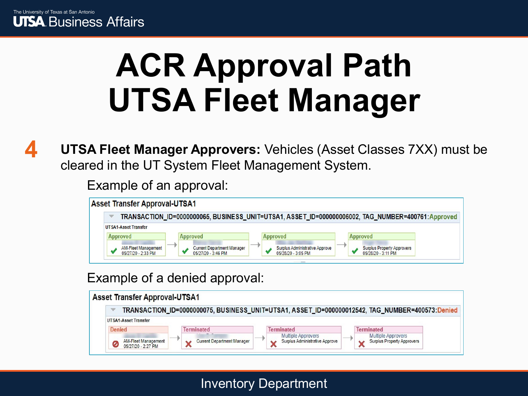

## **ACR Approval Path UTSA Fleet Manager**

**UTSA Fleet Manager Approvers:** Vehicles (Asset Classes 7XX) must be cleared in the UT System Fleet Management System. **4**

Example of an approval:

**Asset Transfer Approval-UTSA1** 

TRANSACTION\_ID=0000000065, BUSINESS\_UNIT=UTSA1, ASSET\_ID=000000006002, TAG\_NUMBER=400761:Approved

| <b>UTSA1-Asset Transfer</b>                      |                                                         |                                                             |                                                         |
|--------------------------------------------------|---------------------------------------------------------|-------------------------------------------------------------|---------------------------------------------------------|
| Approved                                         | Approved                                                | Approved                                                    | Approved                                                |
| <b>AM-Fleet Management</b><br>05/27/20 - 2:33 PM | <b>Current Department Manager</b><br>05/27/20 - 3:46 PM | <b>Surplus Administrative Approve</b><br>05/28/20 - 3:05 PM | <b>Surplus Property Approvers</b><br>05/28/20 - 3:11 PM |

#### Example of a denied approval: